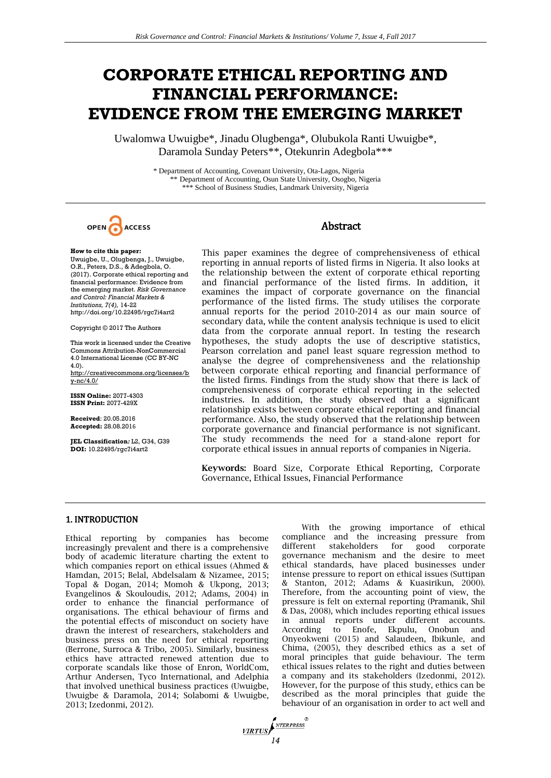# **CORPORATE ETHICAL REPORTING AND FINANCIAL PERFORMANCE: EVIDENCE FROM THE EMERGING MARKET**

Uwalomwa Uwuigbe\*, Jinadu Olugbenga\*, Olubukola Ranti Uwuigbe\*, Daramola Sunday Peters\*\*, Otekunrin Adegbola\*\*\*

> \* Department of Accounting, Covenant University, Ota-Lagos, Nigeria \*\* Department of Accounting, Osun State University, Osogbo, Nigeria \*\*\* School of Business Studies, Landmark University, Nigeria



# Abstract

## **How to cite this paper:**

Uwuigbe, U., Olugbenga, J., Uwuigbe, O.R., Peters, D.S., & Adegbola, O. (2017). Corporate ethical reporting and financial performance: Evidence from the emerging market. *Risk Governance and Control: Financial Markets & Institutions, 7(4),* 14-22 http://doi.org/10.22495/rgc7i4art2

Copyright © 2017 The Authors

This work is licensed under the Creative Commons Attribution-NonCommercial 4.0 International License (CC BY-NC 4.0). [http://creativecommons.org/licenses/b](http://creativecommons.org/licenses/by-nc/4.0/)

[y-nc/4.0/](http://creativecommons.org/licenses/by-nc/4.0/)

**ISSN Online:** 2077-4303 **ISSN Print:** 2077-429X

**Received**: 20.05.2016 **Accepted:** 28.08.2016

**JEL Classification***:* L2, G34, G39 **DOI:** 10.22495/rgc7i4art2

This paper examines the degree of comprehensiveness of ethical reporting in annual reports of listed firms in Nigeria. It also looks at the relationship between the extent of corporate ethical reporting and financial performance of the listed firms. In addition, it examines the impact of corporate governance on the financial performance of the listed firms. The study utilises the corporate annual reports for the period 2010-2014 as our main source of secondary data, while the content analysis technique is used to elicit data from the corporate annual report. In testing the research hypotheses, the study adopts the use of descriptive statistics, Pearson correlation and panel least square regression method to analyse the degree of comprehensiveness and the relationship between corporate ethical reporting and financial performance of the listed firms. Findings from the study show that there is lack of comprehensiveness of corporate ethical reporting in the selected industries. In addition, the study observed that a significant relationship exists between corporate ethical reporting and financial performance. Also, the study observed that the relationship between corporate governance and financial performance is not significant. The study recommends the need for a stand-alone report for corporate ethical issues in annual reports of companies in Nigeria.

**Keywords:** Board Size, Corporate Ethical Reporting, Corporate Governance, Ethical Issues, Financial Performance

# 1. INTRODUCTION

Ethical reporting by companies has become increasingly prevalent and there is a comprehensive body of academic literature charting the extent to which companies report on ethical issues (Ahmed & Hamdan, 2015; Belal, Abdelsalam & Nizamee, 2015; Topal & Dogan, 2014; Momoh & Ukpong, 2013; Evangelinos & Skouloudis, 2012; Adams, 2004) in order to enhance the financial performance of organisations. The ethical behaviour of firms and the potential effects of misconduct on society have drawn the interest of researchers, stakeholders and business press on the need for ethical reporting (Berrone, Surroca & Tribo, 2005). Similarly, business ethics have attracted renewed attention due to corporate scandals like those of Enron, WorldCom, Arthur Andersen, Tyco International, and Adelphia that involved unethical business practices (Uwuigbe, Uwuigbe & Daramola, 2014; Solabomi & Uwuigbe, 2013; Izedonmi, 2012).

With the growing importance of ethical compliance and the increasing pressure from different stakeholders for good corporate governance mechanism and the desire to meet ethical standards, have placed businesses under intense pressure to report on ethical issues (Suttipan & Stanton, 2012; Adams & Kuasirikun, 2000). Therefore, from the accounting point of view, the pressure is felt on external reporting (Pramanik, Shil & Das, 2008), which includes reporting ethical issues in annual reports under different accounts. According to Enofe, Ekpulu, Onobun and Onyeokweni (2015) and Salaudeen, Ibikunle, and Chima, (2005), they described ethics as a set of moral principles that guide behaviour. The term ethical issues relates to the right and duties between a company and its stakeholders (Izedonmi, 2012). However, for the purpose of this study, ethics can be described as the moral principles that guide the behaviour of an organisation in order to act well and

*VIRTUS*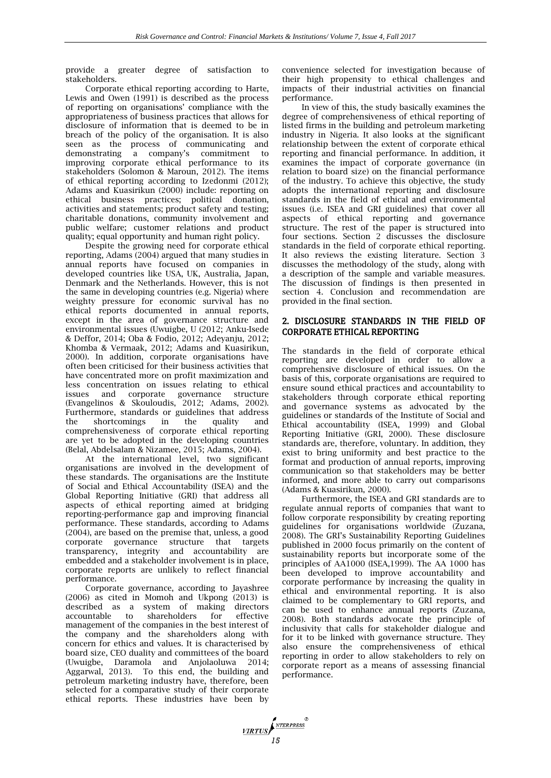provide a greater degree of satisfaction to stakeholders.

Corporate ethical reporting according to Harte, Lewis and Owen (1991) is described as the process of reporting on organisations' compliance with the appropriateness of business practices that allows for disclosure of information that is deemed to be in breach of the policy of the organisation. It is also seen as the process of communicating and demonstrating a company's commitment to improving corporate ethical performance to its stakeholders (Solomon & Maroun, 2012). The items of ethical reporting according to Izedonmi (2012); Adams and Kuasirikun (2000) include: reporting on ethical business practices; political donation, activities and statements; product safety and testing; charitable donations, community involvement and public welfare; customer relations and product quality; equal opportunity and human right policy.

Despite the growing need for corporate ethical reporting, Adams (2004) argued that many studies in annual reports have focused on companies in developed countries like USA, UK, Australia, Japan, Denmark and the Netherlands. However, this is not the same in developing countries (e.g. Nigeria) where weighty pressure for economic survival has no ethical reports documented in annual reports, except in the area of governance structure and environmental issues (Uwuigbe, U (2012; Anku-Isede & Deffor, 2014; Oba & Fodio, 2012; Adeyanju, 2012; Khomba & Vermaak, 2012; Adams and Kuasirikun, 2000). In addition, corporate organisations have often been criticised for their business activities that have concentrated more on profit maximization and less concentration on issues relating to ethical issues and corporate governance structure (Evangelinos & Skouloudis, 2012; Adams, 2002). Furthermore, standards or guidelines that address the shortcomings in the quality and comprehensiveness of corporate ethical reporting are yet to be adopted in the developing countries (Belal, Abdelsalam & Nizamee, 2015; Adams, 2004).

At the international level, two significant organisations are involved in the development of these standards. The organisations are the Institute of Social and Ethical Accountability (ISEA) and the Global Reporting Initiative (GRI) that address all aspects of ethical reporting aimed at bridging reporting-performance gap and improving financial performance. These standards, according to Adams (2004), are based on the premise that, unless, a good corporate governance structure that targets transparency, integrity and accountability are embedded and a stakeholder involvement is in place, corporate reports are unlikely to reflect financial performance.

Corporate governance, according to Jayashree (2006) as cited in Momoh and Ukpong (2013) is described as a system of making directors accountable to shareholders for effective management of the companies in the best interest of the company and the shareholders along with concern for ethics and values. It is characterised by board size, CEO duality and committees of the board (Uwuigbe, Daramola and Anjolaoluwa 2014; Aggarwal, 2013). To this end, the building and petroleum marketing industry have, therefore, been selected for a comparative study of their corporate ethical reports. These industries have been by

convenience selected for investigation because of their high propensity to ethical challenges and impacts of their industrial activities on financial performance.

In view of this, the study basically examines the degree of comprehensiveness of ethical reporting of listed firms in the building and petroleum marketing industry in Nigeria. It also looks at the significant relationship between the extent of corporate ethical reporting and financial performance. In addition, it examines the impact of corporate governance (in relation to board size) on the financial performance of the industry. To achieve this objective, the study adopts the international reporting and disclosure standards in the field of ethical and environmental issues (i.e. ISEA and GRI guidelines) that cover all aspects of ethical reporting and governance structure. The rest of the paper is structured into four sections. Section 2 discusses the disclosure standards in the field of corporate ethical reporting. It also reviews the existing literature. Section 3 discusses the methodology of the study, along with a description of the sample and variable measures. The discussion of findings is then presented in section 4. Conclusion and recommendation are provided in the final section.

# 2. DISCLOSURE STANDARDS IN THE FIELD OF CORPORATE ETHICAL REPORTING

The standards in the field of corporate ethical reporting are developed in order to allow a comprehensive disclosure of ethical issues. On the basis of this, corporate organisations are required to ensure sound ethical practices and accountability to stakeholders through corporate ethical reporting and governance systems as advocated by the guidelines or standards of the Institute of Social and Ethical accountability (ISEA, 1999) and Global Reporting Initiative (GRI, 2000). These disclosure standards are, therefore, voluntary. In addition, they exist to bring uniformity and best practice to the format and production of annual reports, improving communication so that stakeholders may be better informed, and more able to carry out comparisons (Adams & Kuasirikun, 2000).

Furthermore, the ISEA and GRI standards are to regulate annual reports of companies that want to follow corporate responsibility by creating reporting guidelines for organisations worldwide (Zuzana, 2008). The GRI's Sustainability Reporting Guidelines published in 2000 focus primarily on the content of sustainability reports but incorporate some of the principles of AA1000 (ISEA,1999). The AA 1000 has been developed to improve accountability and corporate performance by increasing the quality in ethical and environmental reporting. It is also claimed to be complementary to GRI reports, and can be used to enhance annual reports (Zuzana, 2008). Both standards advocate the principle of inclusivity that calls for stakeholder dialogue and for it to be linked with governance structure. They also ensure the comprehensiveness of ethical reporting in order to allow stakeholders to rely on corporate report as a means of assessing financial performance.

**17RTUS**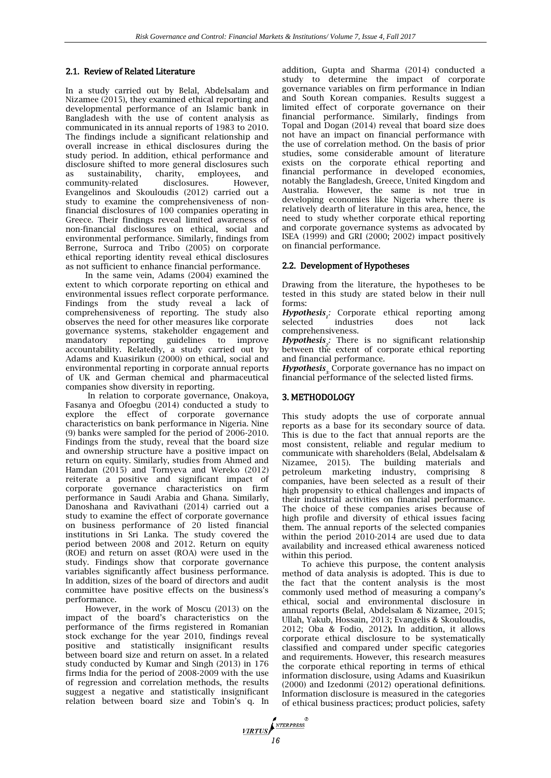# 2.1. Review of Related Literature

In a study carried out by Belal, Abdelsalam and Nizamee (2015), they examined ethical reporting and developmental performance of an Islamic bank in Bangladesh with the use of content analysis as communicated in its annual reports of 1983 to 2010. The findings include a significant relationship and overall increase in ethical disclosures during the study period. In addition, ethical performance and disclosure shifted to more general disclosures such as sustainability, charity, employees, and community-related disclosures. However, Evangelinos and Skouloudis (2012) carried out a study to examine the comprehensiveness of nonfinancial disclosures of 100 companies operating in Greece. Their findings reveal limited awareness of non-financial disclosures on ethical, social and environmental performance. Similarly, findings from Berrone, Surroca and Tribo (2005) on corporate ethical reporting identity reveal ethical disclosures as not sufficient to enhance financial performance.

In the same vein, Adams (2004) examined the extent to which corporate reporting on ethical and environmental issues reflect corporate performance. Findings from the study reveal a lack of comprehensiveness of reporting. The study also observes the need for other measures like corporate governance systems, stakeholder engagement and mandatory reporting guidelines to improve accountability. Relatedly, a study carried out by Adams and Kuasirikun (2000) on ethical, social and environmental reporting in corporate annual reports of UK and German chemical and pharmaceutical companies show diversity in reporting.

In relation to corporate governance, Onakoya, Fasanya and Ofoegbu (2014) conducted a study to explore the effect of corporate governance characteristics on bank performance in Nigeria. Nine (9) banks were sampled for the period of 2006-2010. Findings from the study, reveal that the board size and ownership structure have a positive impact on return on equity. Similarly, studies from Ahmed and Hamdan (2015) and Tornyeva and Wereko (2012) reiterate a positive and significant impact of corporate governance characteristics on firm performance in Saudi Arabia and Ghana. Similarly, Danoshana and Ravivathani (2014) carried out a study to examine the effect of corporate governance on business performance of 20 listed financial institutions in Sri Lanka. The study covered the period between 2008 and 2012. Return on equity (ROE) and return on asset (ROA) were used in the study. Findings show that corporate governance variables significantly affect business performance. In addition, sizes of the board of directors and audit committee have positive effects on the business's performance.

However, in the work of Moscu (2013) on the impact of the board's characteristics on the performance of the firms registered in Romanian stock exchange for the year 2010, findings reveal positive and statistically insignificant results between board size and return on asset. In a related study conducted by Kumar and Singh (2013) in 176 firms India for the period of 2008-2009 with the use of regression and correlation methods, the results suggest a negative and statistically insignificant relation between board size and Tobin's q. In

addition, Gupta and Sharma (2014) conducted a study to determine the impact of corporate governance variables on firm performance in Indian and South Korean companies. Results suggest a limited effect of corporate governance on their financial performance. Similarly, findings from Topal and Dogan (2014) reveal that board size does not have an impact on financial performance with the use of correlation method. On the basis of prior studies, some considerable amount of literature exists on the corporate ethical reporting and financial performance in developed economies, notably the Bangladesh, Greece, United Kingdom and Australia. However, the same is not true in developing economies like Nigeria where there is relatively dearth of literature in this area, hence, the need to study whether corporate ethical reporting and corporate governance systems as advocated by ISEA (1999) and GRI (2000; 2002) impact positively on financial performance.

# 2.2. Development of Hypotheses

Drawing from the literature, the hypotheses to be tested in this study are stated below in their null forms:

*Hypothesis 1 :* Corporate ethical reporting among selected industries does not lack comprehensiveness.

*Hypothesis :* There is no significant relationship *2* between the extent of corporate ethical reporting and financial performance.

*Hypothesis* Corporate governance has no impact on financial performance of the selected listed firms.

## 3. METHODOLOGY

This study adopts the use of corporate annual reports as a base for its secondary source of data. This is due to the fact that annual reports are the most consistent, reliable and regular medium to communicate with shareholders (Belal, Abdelsalam & Nizamee, 2015). The building materials and petroleum marketing industry, comprising 8 companies, have been selected as a result of their high propensity to ethical challenges and impacts of their industrial activities on financial performance. The choice of these companies arises because of high profile and diversity of ethical issues facing them. The annual reports of the selected companies within the period 2010-2014 are used due to data availability and increased ethical awareness noticed within this period.

To achieve this purpose, the content analysis method of data analysis is adopted. This is due to the fact that the content analysis is the most commonly used method of measuring a company's ethical, social and environmental disclosure in annual reports **(**Belal, Abdelsalam & Nizamee, 2015; Ullah, Yakub, Hossain, 2013; Evangelis & Skouloudis, 2012; Oba & Fodio, 2012**).** In addition, it allows corporate ethical disclosure to be systematically classified and compared under specific categories and requirements. However, this research measures the corporate ethical reporting in terms of ethical information disclosure, using Adams and Kuasirikun (2000) and Izedonmi (2012) operational definitions. Information disclosure is measured in the categories of ethical business practices; product policies, safety

**VIRTUS**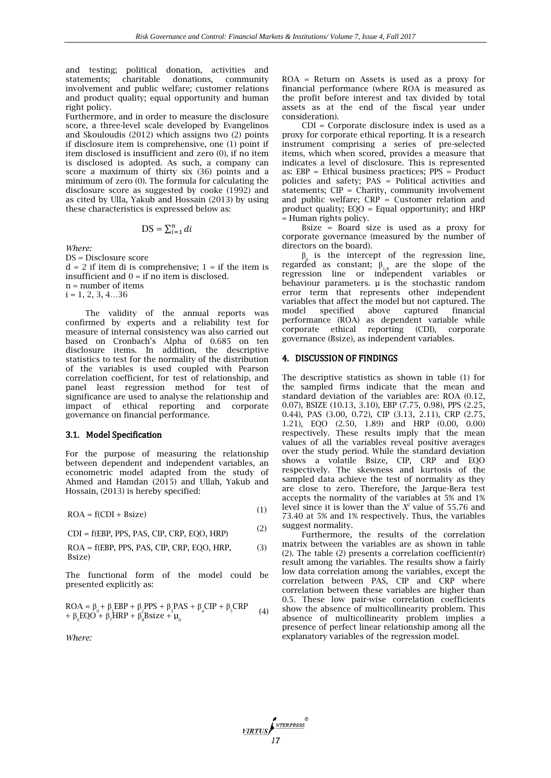and testing; political donation, activities and statements; charitable donations, community involvement and public welfare; customer relations and product quality; equal opportunity and human right policy.

Furthermore, and in order to measure the disclosure score, a three-level scale developed by Evangelinos and Skouloudis (2012) which assigns two (2) points if disclosure item is comprehensive, one (1) point if item disclosed is insufficient and zero (0), if no item is disclosed is adopted. As such, a company can score a maximum of thirty six (36) points and a minimum of zero (0). The formula for calculating the disclosure score as suggested by cooke (1992) and as cited by Ulla, Yakub and Hossain (2013) by using these characteristics is expressed below as:

$$
DS = \sum_{i=1}^{n} di
$$

*Where:*

DS = Disclosure score  $d = 2$  if item di is comprehensive;  $1 =$  if the item is insufficient and  $0 =$  if no item is disclosed. n = number of items  $i = 1, 2, 3, 4...36$ 

The validity of the annual reports was confirmed by experts and a reliability test for measure of internal consistency was also carried out based on Cronbach's Alpha of 0.685 on ten disclosure items. In addition, the descriptive statistics to test for the normality of the distribution of the variables is used coupled with Pearson correlation coefficient, for test of relationship, and panel least regression method for test of significance are used to analyse the relationship and impact of ethical reporting and corporate governance on financial performance.

## 3.1. Model Specification

For the purpose of measuring the relationship between dependent and independent variables, an econometric model adapted from the study of Ahmed and Hamdan (2015) and Ullah, Yakub and Hossain, (2013) is hereby specified:

 $\text{ROA} = \text{f}(\text{CDI} + \text{Bsize})$ (1)

 $CDI = f(EBP, PPS, PAS, CIP, CRP, EQO, HRP)$  (2)

ROA = f(EBP, PPS, PAS, CIP, CRP, EQO, HRP, Bsize) (3)

The functional form of the model could be presented explicitly as:

$$
ROA = \beta_0 + \beta_1 EBP + \beta_2 PPS + \beta_3 PAS + \beta_4 CIP + \beta_5 CRP + \beta_6 EQO + \beta_7 HRP + \beta_8 Bsize + \mu_0
$$
 (4)

*Where:* 

ROA = Return on Assets is used as a proxy for financial performance (where ROA is measured as the profit before interest and tax divided by total assets as at the end of the fiscal year under consideration).

CDI = Corporate disclosure index is used as a proxy for corporate ethical reporting. It is a research instrument comprising a series of pre-selected items, which when scored, provides a measure that indicates a level of disclosure. This is represented as: EBP = Ethical business practices; PPS = Product policies and safety; PAS = Political activities and statements;  $CIP =$  Charity, community involvement and public welfare;  $CRP =$  Customer relation and product quality; EQO = Equal opportunity; and HRP = Human rights policy.

Bsize = Board size is used as a proxy for corporate governance (measured by the number of directors on the board).

 $\beta_0$  is the intercept of the regression line, regarded as constant;  $\beta_{1,8}$  are the slope of the regression line or independent variables or behaviour parameters.  $\mu$  is the stochastic random error term that represents other independent variables that affect the model but not captured. The model specified above captured financial model specified above captured financial performance (ROA) as dependent variable while corporate ethical reporting (CDI), corporate governance (Bsize), as independent variables.

#### 4. DISCUSSION OF FINDINGS

The descriptive statistics as shown in table (1) for the sampled firms indicate that the mean and standard deviation of the variables are: ROA (0.12, 0.07), BSIZE (10.13, 3.10), EBP (7.75, 0.98), PPS (2.25, 0.44), PAS (3.00, 0.72), CIP (3.13, 2.11), CRP (2.75, 1.21), EQO (2.50, 1.89) and HRP (0.00, 0.00) respectively. These results imply that the mean values of all the variables reveal positive averages over the study period. While the standard deviation shows a volatile Bsize, CIP, CRP and EQO respectively. The skewness and kurtosis of the sampled data achieve the test of normality as they are close to zero. Therefore, the Jarque-Bera test accepts the normality of the variables at 5% and 1% level since it is lower than the *X <sup>2</sup>* value of 55.76 and 73.40 at 5% and 1% respectively. Thus, the variables suggest normality.

Furthermore, the results of the correlation matrix between the variables are as shown in table (2). The table (2) presents a correlation coefficient $(r)$ result among the variables. The results show a fairly low data correlation among the variables, except the correlation between PAS, CIP and CRP where correlation between these variables are higher than 0.5. These low pair-wise correlation coefficients show the absence of multicollinearity problem. This absence of multicollinearity problem implies a presence of perfect linear relationship among all the explanatory variables of the regression model.

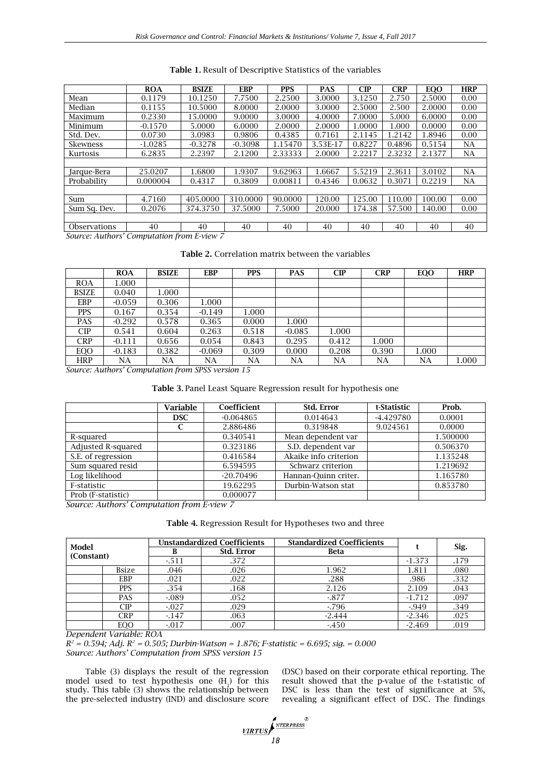|                                            | <b>ROA</b> | <b>BSIZE</b> | <b>EBP</b> | <b>PPS</b> | <b>PAS</b> | CIP    | <b>CRP</b> | <b>EQO</b> | <b>HRP</b> |
|--------------------------------------------|------------|--------------|------------|------------|------------|--------|------------|------------|------------|
| Mean                                       | 0.1179     | 10.1250      | 7.7500     | 2.2500     | 3.0000     | 3.1250 | 2.750      | 2.5000     | 0.00       |
| Median                                     | 0.1155     | 10.5000      | 8.0000     | 2.0000     | 3.0000     | 2.5000 | 2.500      | 2.0000     | 0.00       |
| Maximum                                    | 0.2330     | 15.0000      | 9.0000     | 3.0000     | 4.0000     | 7.0000 | 5.000      | 6.0000     | 0.00       |
| Minimum                                    | $-0.1570$  | 5.0000       | 6.0000     | 2.0000     | 2.0000     | 1.0000 | 1.000      | 0.0000     | 0.00       |
| Std. Dev.                                  | 0.0730     | 3.0983       | 0.9806     | 0.4385     | 0.7161     | 2.1145 | 1.2142     | 1.8946     | 0.00       |
| <b>Skewness</b>                            | $-1.0285$  | $-0.3278$    | $-0.3098$  | 1.15470    | 3.53E-17   | 0.8227 | 0.4896     | 0.5154     | NA         |
| Kurtosis                                   | 6.2835     | 2.2397       | 2.1200     | 2.33333    | 2.0000     | 2.2217 | 2.3232     | 2.1377     | NA         |
|                                            |            |              |            |            |            |        |            |            |            |
| Jarque-Bera                                | 25.0207    | 1.6800       | 1.9307     | 9.62963    | 1.6667     | 5.5219 | 2.3611     | 3.0102     | <b>NA</b>  |
| Probability                                | 0.000004   | 0.4317       | 0.3809     | 0.00811    | 0.4346     | 0.0632 | 0.3071     | 0.2219     | NA         |
|                                            |            |              |            |            |            |        |            |            |            |
| Sum                                        | 4.7160     | 405.0000     | 310.0000   | 90,0000    | 120.00     | 125.00 | 110.00     | 100.00     | 0.00       |
| Sum Sa. Dev.                               | 0.2076     | 374.3750     | 37.5000    | 7.5000     | 20,000     | 174.38 | 57.500     | 140.00     | 0.00       |
|                                            |            |              |            |            |            |        |            |            |            |
| <b>Observations</b>                        | 40         | 40           | 40         | 40         | 40         | 40     | 40         | 40         | 40         |
| Course Authors' Commitation from Enrique 7 |            |              |            |            |            |        |            |            |            |

**Table 1.** Result of Descriptive Statistics of the variables

*Source: Authors' Computation from E-view 7*

**Table 2.** Correlation matrix between the variables

|              | <b>ROA</b> | <b>BSIZE</b> | <b>EBP</b> | <b>PPS</b> | <b>PAS</b> | CIP   | <b>CRP</b> | EQO   | <b>HRP</b> |
|--------------|------------|--------------|------------|------------|------------|-------|------------|-------|------------|
| <b>ROA</b>   | 1.000      |              |            |            |            |       |            |       |            |
| <b>BSIZE</b> | 0.040      | 1.000        |            |            |            |       |            |       |            |
| <b>EBP</b>   | $-0.059$   | 0.306        | 1.000      |            |            |       |            |       |            |
| <b>PPS</b>   | 0.167      | 0.354        | $-0.149$   | 1.000      |            |       |            |       |            |
| <b>PAS</b>   | $-0.292$   | 0.578        | 0.365      | 0.000      | 1.000      |       |            |       |            |
| CIP          | 0.541      | 0.604        | 0.263      | 0.518      | $-0.085$   | 1.000 |            |       |            |
| <b>CRP</b>   | $-0.111$   | 0.656        | 0.054      | 0.843      | 0.295      | 0.412 | 1.000      |       |            |
| EQO          | $-0.183$   | 0.382        | $-0.069$   | 0.309      | 0.000      | 0.208 | 0.390      | 1.000 |            |
| <b>HRP</b>   | NA         | NA           | NA         | NA         | NA         | NA    | NA         | NA    | 1.000      |

*Source: Authors' Computation from SPSS version 15*

|                    | <b>Variable</b> | Coefficient | Std. Error            | t-Statistic | Prob.    |
|--------------------|-----------------|-------------|-----------------------|-------------|----------|
|                    | <b>DSC</b>      | $-0.064865$ | 0.014643              | $-4.429780$ | 0.0001   |
|                    | C               | 2.886486    | 0.319848              | 9.024561    | 0.0000   |
| R-squared          |                 | 0.340541    | Mean dependent var    |             | 1.500000 |
| Adjusted R-squared |                 | 0.323186    | S.D. dependent var    |             | 0.506370 |
| S.E. of regression |                 | 0.416584    | Akaike info criterion |             | 1.135248 |
| Sum squared resid  |                 | 6.594595    | Schwarz criterion     |             | 1.219692 |
| Log likelihood     |                 | $-20.70496$ | Hannan-Quinn criter.  |             | 1.165780 |
| F-statistic        |                 | 19.62295    | Durbin-Watson stat    |             | 0.853780 |
| Prob (F-statistic) |                 | 0.000077    |                       |             |          |

*Source: Authors' Computation from E-view 7*

**Table 4.** Regression Result for Hypotheses two and three

| Model      |                           | <b>Unstandardized Coefficients</b> |            | <b>Standardized Coefficients</b> |          | Sig. |
|------------|---------------------------|------------------------------------|------------|----------------------------------|----------|------|
|            |                           |                                    | Std. Error | <b>Beta</b>                      |          |      |
| (Constant) |                           | $-511$                             | .372       |                                  | $-1.373$ | .179 |
|            | Bsize                     | .046                               | .026       | 1.962                            | 1.811    | .080 |
|            | EBP                       | .021                               | .022       | .288                             | .986     | .332 |
|            | <b>PPS</b>                | .354                               | .168       | 2.126                            | 2.109    | .043 |
|            | <b>PAS</b>                | $-089$                             | .052       | $-877$                           | $-1.712$ | .097 |
|            | CIP                       | $-0.027$                           | .029       | $-796$                           | -.949    | .349 |
|            | CRP                       | $-147$                             | .063       | $-2.444$                         | $-2.346$ | .025 |
| . .        | EO <sub>O</sub><br>------ | $-0.017$<br>_ _                    | .007       | $-450$                           | $-2.469$ | .019 |

*Dependent Variable: ROA*

*R <sup>2</sup> = 0.594; Adj. R<sup>2</sup> = 0.505; Durbin-Watson = 1.876; F-statistic = 6.695; sig. = 0.000 Source: Authors' Computation from SPSS version 15*

Table (3) displays the result of the regression model used to test hypothesis one  $(H_1)$  for this study. This table (3) shows the relationship between the pre-selected industry (IND) and disclosure score

(DSC) based on their corporate ethical reporting. The result showed that the p-value of the t-statistic of DSC is less than the test of significance at 5%, revealing a significant effect of DSC. The findings

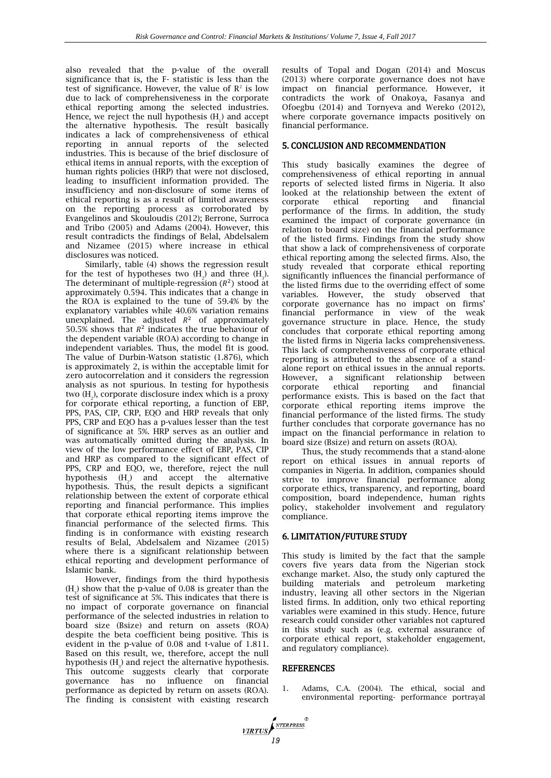also revealed that the p-value of the overall significance that is, the F- statistic is less than the test of significance. However, the value of  $\mathbb{R}^2$  is low due to lack of comprehensiveness in the corporate ethical reporting among the selected industries. Hence, we reject the null hypothesis  $(H_1)$  and accept the alternative hypothesis. The result basically indicates a lack of comprehensiveness of ethical reporting in annual reports of the selected industries. This is because of the brief disclosure of ethical items in annual reports, with the exception of human rights policies (HRP) that were not disclosed, leading to insufficient information provided. The insufficiency and non-disclosure of some items of ethical reporting is as a result of limited awareness on the reporting process as corroborated by Evangelinos and Skouloudis (2012); Berrone, Surroca and Tribo (2005) and Adams (2004). However, this result contradicts the findings of Belal, Abdelsalem and Nizamee (2015) where increase in ethical disclosures was noticed.

Similarly, table (4) shows the regression result for the test of hypotheses two  $(H_2)$  and three  $(H_3)$ . The determinant of multiple-regression  $(R^2)$  stood at approximately 0.594. This indicates that a change in the ROA is explained to the tune of 59.4% by the explanatory variables while 40.6% variation remains unexplained. The adjusted  $R^2$  of approximately 50.5% shows that  $R^2$  indicates the true behaviour of the dependent variable (ROA) according to change in independent variables. Thus, the model fit is good. The value of Durbin-Watson statistic (1.876), which is approximately 2, is within the acceptable limit for zero autocorrelation and it considers the regression analysis as not spurious. In testing for hypothesis two  $(H_2)$ , corporate disclosure index which is a proxy for corporate ethical reporting, a function of EBP, PPS, PAS, CIP, CRP, EQO and HRP reveals that only PPS, CRP and EQO has a p-values lesser than the test of significance at 5%. HRP serves as an outlier and was automatically omitted during the analysis. In view of the low performance effect of EBP, PAS, CIP and HRP as compared to the significant effect of PPS, CRP and EQO, we, therefore, reject the null hypothesis  $(H_2)$  and accept the alternative hypothesis. Thus, the result depicts a significant relationship between the extent of corporate ethical reporting and financial performance. This implies that corporate ethical reporting items improve the financial performance of the selected firms. This finding is in conformance with existing research results of Belal, Abdelsalem and Nizamee (2015) where there is a significant relationship between ethical reporting and development performance of Islamic bank.

However, findings from the third hypothesis  $(H_3)$  show that the p-value of 0.08 is greater than the test of significance at 5%. This indicates that there is no impact of corporate governance on financial performance of the selected industries in relation to board size (Bsize) and return on assets (ROA) despite the beta coefficient being positive. This is evident in the p-value of 0.08 and t-value of 1.811. Based on this result, we, therefore, accept the null hypothesis  $(H_3)$  and reject the alternative hypothesis. This outcome suggests clearly that corporate governance has no influence on financial performance as depicted by return on assets (ROA). The finding is consistent with existing research

results of Topal and Dogan (2014) and Moscus (2013) where corporate governance does not have impact on financial performance. However, it contradicts the work of Onakoya, Fasanya and Ofoegbu (2014) and Tornyeva and Wereko (2012), where corporate governance impacts positively on financial performance.

# 5. CONCLUSION AND RECOMMENDATION

This study basically examines the degree of comprehensiveness of ethical reporting in annual reports of selected listed firms in Nigeria. It also looked at the relationship between the extent of corporate ethical reporting and financial performance of the firms. In addition, the study examined the impact of corporate governance (in relation to board size) on the financial performance of the listed firms. Findings from the study show that show a lack of comprehensiveness of corporate ethical reporting among the selected firms. Also, the study revealed that corporate ethical reporting significantly influences the financial performance of the listed firms due to the overriding effect of some variables. However, the study observed that corporate governance has no impact on firms' financial performance in view of the weak governance structure in place. Hence, the study concludes that corporate ethical reporting among the listed firms in Nigeria lacks comprehensiveness. This lack of comprehensiveness of corporate ethical reporting is attributed to the absence of a standalone report on ethical issues in the annual reports. However, a significant relationship between corporate ethical reporting and financial performance exists. This is based on the fact that corporate ethical reporting items improve the financial performance of the listed firms. The study further concludes that corporate governance has no impact on the financial performance in relation to board size (Bsize) and return on assets (ROA).

Thus, the study recommends that a stand-alone report on ethical issues in annual reports of companies in Nigeria. In addition, companies should strive to improve financial performance along corporate ethics, transparency, and reporting, board composition, board independence, human rights policy, stakeholder involvement and regulatory compliance.

## 6. LIMITATION/FUTURE STUDY

This study is limited by the fact that the sample covers five years data from the Nigerian stock exchange market. Also, the study only captured the building materials and petroleum marketing industry, leaving all other sectors in the Nigerian listed firms. In addition, only two ethical reporting variables were examined in this study. Hence, future research could consider other variables not captured in this study such as (e.g. external assurance of corporate ethical report, stakeholder engagement, and regulatory compliance).

## REFERENCES

1. Adams, C.A. (2004). [The ethical, social and](http://www.emeraldinsight.com/journals.htm?issn=0951-3574&volume=17&issue=5&articleid=869900&show=abstract)  [environmental reporting-](http://www.emeraldinsight.com/journals.htm?issn=0951-3574&volume=17&issue=5&articleid=869900&show=abstract) performance portrayal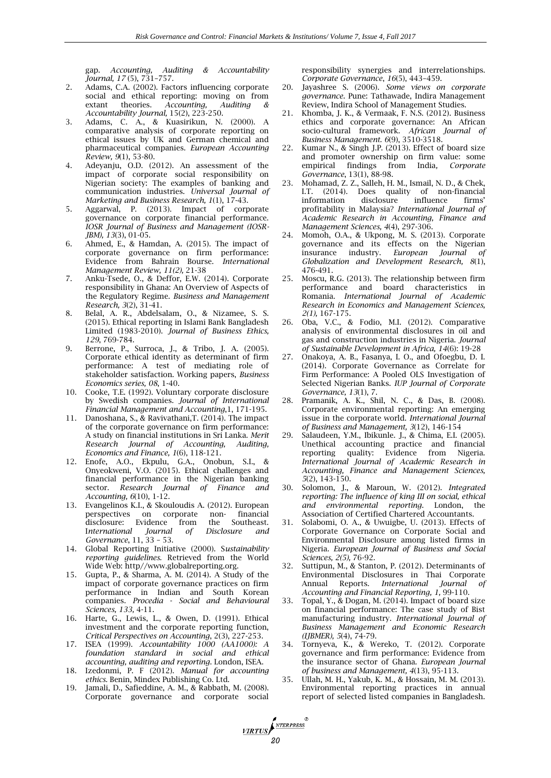[gap.](http://www.emeraldinsight.com/journals.htm?issn=0951-3574&volume=17&issue=5&articleid=869900&show=abstract) *Accounting, Auditing & Accountability Journal, 17* (5), 731–757.

- 2. Adams, C.A. (2002). Factors influencing corporate social and ethical reporting: moving on from<br>extant theories. Accounting, Auditing & Accounting, Auditing & *Accountability Journal,* 15(2), 223-250.
- 3. Adams, C. A., & Kuasirikun, N. (2000). A comparative analysis of corporate reporting on ethical issues by UK and German chemical and pharmaceutical companies. *European Accounting Review, 9*(1), 53-80.
- 4. Adeyanju, O.D. (2012). An assessment of the impact of corporate social responsibility on Nigerian society: The examples of banking and communication industries. *Universal Journal of Marketing and Business Research, 1*(1), 17-43.
- 5. Aggarwal, P. (2013). Impact of corporate governance on corporate financial performance. *IOSR Journal of Business and Management (IOSR-JBM), 13*(3), 01-05.
- 6. Ahmed, E., & Hamdan, A. (2015). The impact of corporate governance on firm performance: Evidence from Bahrain Bourse. *International Management Review, 11(2),* 21-38
- 7. Anku-Tsede, O., & Deffor, E.W. (2014). Corporate responsibility in Ghana: An Overview of Aspects of the Regulatory Regime. *Business and Management Research, 3*(2), 31-41.
- 8. Belal, A. R., Abdelsalam, O., & Nizamee, S. S. (2015). Ethical reporting in Islami Bank Bangladesh Limited (1983-2010). *Journal of Business Ethics, 129*, 769-784.
- 9. Berrone, P., Surroca, J., & Tribo, J. A. (2005). Corporate ethical identity as determinant of firm performance: A test of mediating role of stakeholder satisfaction. Working papers, *Business Economics series, 08*, 1-40.
- 10. Cooke, T.E. (1992). Voluntary corporate disclosure by Swedish companies. *Journal of International Financial Management and Accounting*,1, 171-195.
- 11. Danoshana, S., & Ravivathani,T. (2014). The impact of the corporate governance on firm performance: A study on financial institutions in Sri Lanka. *Merit Research Journal of Accounting, Auditing, Economics and Finance, 1*(6), 118-121.
- 12. Enofe, A.O., Ekpulu, G.A., Onobun, S.I., & Onyeokweni, V.O. (2015). Ethical challenges and financial performance in the Nigerian banking sector. *Research Journal of Finance and Accounting, 6*(10), 1-12.
- 13. Evangelinos K.I., & Skouloudis A. (2012). European perspectives on corporate non- financial disclosure: Evidence from the Southeast. disclosure: Evidence from the<br>International Journal of Disci I*nternational Journal of Disclosure and Governance*, 11, 33 – 53.
- 14. Global Reporting Initiative (2000). S*ustainability reporting guidelines.* Retrieved from the World Wide Web: http//www.globalreporting.org.
- 15. Gupta, P., & Sharma, A. M. (2014). A Study of the impact of corporate governance practices on firm performance in Indian and South Korean companies. *Procedia - Social and Behavioural Sciences, 133,* 4-11.
- 16. Harte, G., Lewis, L., & Owen, D. (1991). Ethical investment and the corporate reporting function, *Critical Perspectives on Accounting*, 2(3), 227-253.
- 17. ISEA (1999). *Accountability 1000 (AA1000): A foundation standard in social and ethical accounting, auditing and reporting*. London, ISEA.
- 18. Izedonmi, P. F (2012). *Manual for accounting ethics.* Benin, Mindex Publishing Co. Ltd.
- 19. Jamali, D., Safieddine, A. M., & Rabbath, M. (2008). Corporate governance and corporate social

*VIRTUS* 

responsibility synergies and interrelationships. *Corporate Governance*, *16*(5), 443–459.

- 20. Jayashree S. (2006). *Some views on corporate governance.* Pune: Tathawade, Indira Management Review, Indira School of Management Studies.
- 21. Khomba, J. K., & Vermaak, F. N.S. (2012). Business ethics and corporate governance: An African socio-cultural framework. *African Journal of Business Management. 6*(9), 3510-3518.
- 22. Kumar N., & Singh J.P. (2013). Effect of board size and promoter ownership on firm value: some empirical findings from India. Corporate empirical findings from India, *Governance*, 13(1), 88-98.
- 23. Mohamad, Z. Z., Salleh, H. M., Ismail, N. D., & Chek, I.T. (2014). Does quality of non-financial disclosure influence firms' profitability in Malaysia? *International Journal of Academic Research in Accounting, Finance and Management Sciences, 4*(4), 297-306.
- 24. Momoh, O.A., & Ukpong, M. S. (2013). Corporate governance and its effects on the Nigerian insurance industry. *European Journal of Globalization and Development Research, 8*(1), 476-491.
- 25. Moscu, R.G. (2013). The relationship between firm performance and board characteristics in Romania. *International Journal of Academic Research in Economics and Management Sciences, 2(1),* 167-175.
- 26. Oba, V.C., & Fodio, M.I. (2012). Comparative analysis of environmental disclosures in oil and gas and construction industries in Nigeria. *Journal of Sustainable Development in Africa, 14*(6): 19-28
- 27. Onakoya, A. B., Fasanya, I. O., and Ofoegbu, D. I. (2014). Corporate Governance as Correlate for Firm Performance: A Pooled OLS Investigation of Selected Nigerian Banks. *IUP Journal of Corporate Governance, 13*(1), 7.
- 28. Pramanik, A. K., Shil, N. C., & Das, B. (2008). Corporate environmental reporting: An emerging issue in the corporate world. *International Journal of Business and Management, 3*(12), 146-154
- 29. Salaudeen, Y.M., Ibikunle. J., & Chima, E.I. (2005). Unethical accounting practice and financial reporting quality: Evidence from Nigeria. *International Journal of Academic Research in Accounting, Finance and Management Sciences, 5*(2), 143-150.
- 30. Solomon, J., & Maroun, W. (2012). *Integrated reporting: The influence of king III on social, ethical and environmental reporting*. London, the Association of Certified Chartered Accountants.
- 31. Solabomi, O. A., & Uwuigbe, U. (2013). Effects of Corporate Governance on Corporate Social and Environmental Disclosure among listed firms in Nigeria. *European Journal of Business and Social Sciences, 2(5),* 76-92.
- 32. Suttipun, M., & Stanton, P. (2012). Determinants of Environmental Disclosures in Thai Corporate Annual Reports. *International Journal of Accounting and Financial Reporting, 1,* 99-110.
- 33. Topal, Y., & Dogan, M. (2014). Impact of board size on financial performance: The case study of Bist manufacturing industry. *International Journal of Business Management and Economic Research (IJBMER), 5*(4), 74-79.
- 34. Tornyeva, K., & Wereko, T. (2012). Corporate governance and firm performance: Evidence from the insurance sector of Ghana. *European Journal of business and Management, 4*(13), 95-113.
- 35. Ullah, M. H., Yakub, K. M., & Hossain, M. M. (2013). Environmental reporting practices in annual report of selected listed companies in Bangladesh.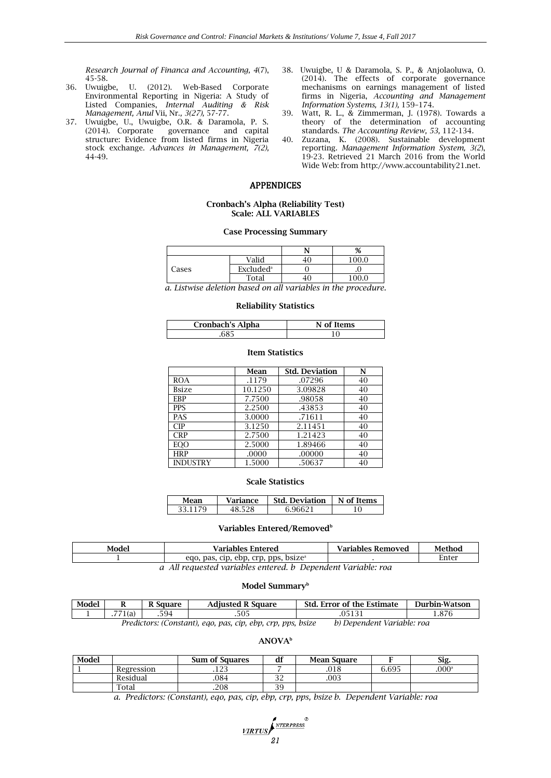*Research Journal of Financa and Accounting, 4*(7),

- 45-58.<br>36. Uwuigbe, U. (2012). Web-Based Corporate Environmental Reporting in Nigeria: A Study of Listed Companies, *Internal Auditing & Risk Management, Anul* Vii, Nr*., 3(27),* 57-77.
- 37. Uwuigbe, U., Uwuigbe, O.R. & Daramola, P. S. (2014). Corporate governance and capital structure: Evidence from listed firms in Nigeria stock exchange. *Advances in Management, 7(2),*  44-49.
- 38. Uwuigbe, U & Daramola, S. P., & Anjolaoluwa, O. (2014). The effects of corporate governance mechanisms on earnings management of listed firms in Nigeria, *Accounting and Management Information Systems, 13(1),* 159–174.
- 39. Watt, R. L., & Zimmerman, J. (1978). Towards a theory of the determination of accounting standards. *The Accounting Review, 53,* 112-134.
- 40. Zuzana, K. (2008). Sustainable development reporting. *Management Information System, 3(2*), 19-23. Retrieved 21 March 2016 from the World Wide Web: from http://www.accountability21.net.

## APPENDICES

#### **Cronbach's Alpha (Reliability Test) Scale: ALL VARIABLES**

#### **Case Processing Summary**

|       |                       |    | %     |
|-------|-----------------------|----|-------|
|       | Valid                 | 40 | 100.0 |
| Cases | Excluded <sup>a</sup> |    |       |
|       | Total                 | 40 | 100 O |

*a. Listwise deletion based on all variables in the procedure.*

#### **Reliability Statistics**

| <b>Cronbach's Alpha</b> | N of Items |
|-------------------------|------------|
|                         |            |

#### **Item Statistics**

|                 | Mean    | <b>Std. Deviation</b> | N  |
|-----------------|---------|-----------------------|----|
| <b>ROA</b>      | .1179   | .07296                | 40 |
| <b>Bsize</b>    | 10.1250 | 3.09828               | 40 |
| <b>EBP</b>      | 7.7500  | .98058                | 40 |
| PPS             | 2.2500  | .43853                | 40 |
| PAS             | 3.0000  | .71611                | 40 |
| CIP             | 3.1250  | 2.11451               | 40 |
| <b>CRP</b>      | 2.7500  | 1.21423               | 40 |
| <b>EOO</b>      | 2.5000  | 1.89466               | 40 |
| <b>HRP</b>      | .0000   | .00000                | 40 |
| <b>INDUSTRY</b> | 1.5000  | .50637                | 40 |

#### **Scale Statistics**

| Mean | Variance | <b>Std. Deviation</b> | N of Items |
|------|----------|-----------------------|------------|
| 33   | 598      | ., 9662 <sup>-</sup>  |            |

#### **Variables Entered/Removed<sup>b</sup>**

| Model | Variables Entered                                        | <b>Variables Removed</b> | Methoo |
|-------|----------------------------------------------------------|--------------------------|--------|
|       | cip.<br>. bsizeª<br>ebp,<br>pas,<br>crp.<br>pps.<br>ego. |                          | Enter  |
|       | $\mathbf{r}$                                             | $\cdot$ $\cdot$ $\cdot$  |        |

*a All requested variables entered. b Dependent Variable: roa*

#### **Model Summary<sup>b</sup>**

| Model |                                                                                                           | Square | <b>Adjusted R Square</b> | <b>Std. Error of the Estimate</b> | Durbin-Watson |  |  |
|-------|-----------------------------------------------------------------------------------------------------------|--------|--------------------------|-----------------------------------|---------------|--|--|
|       | 771(a)                                                                                                    | 594.   | .505                     |                                   |               |  |  |
|       | <i>Drodictors: (Constant) ago nas cin abn crn nns</i><br>Danandant Variabla: roa<br>$\mathbf{h}$<br>heizo |        |                          |                                   |               |  |  |

*Predictors: (Constant), eqo, pas, cip, ebp, crp, pps, bsize b) Dependent Variable: roa*

# **ANOVA<sup>b</sup>**

| Model |            | <b>Sum of Squares</b> | df        | <b>Mean Square</b> |       | Sig.              |
|-------|------------|-----------------------|-----------|--------------------|-------|-------------------|
|       | Regression | ن ے ان                |           | .018               | 6.695 | .000 <sup>a</sup> |
|       | Residual   | .084                  | nn<br>ے ر | .003               |       |                   |
|       | Total      | .208                  | 39        |                    |       |                   |

*a. Predictors: (Constant), eqo, pas, cip, ebp, crp, pps, bsize b. Dependent Variable: roa*

| <b>NTERPRESS</b> |
|------------------|
| <i>VIRTUS</i> P  |
| 21               |